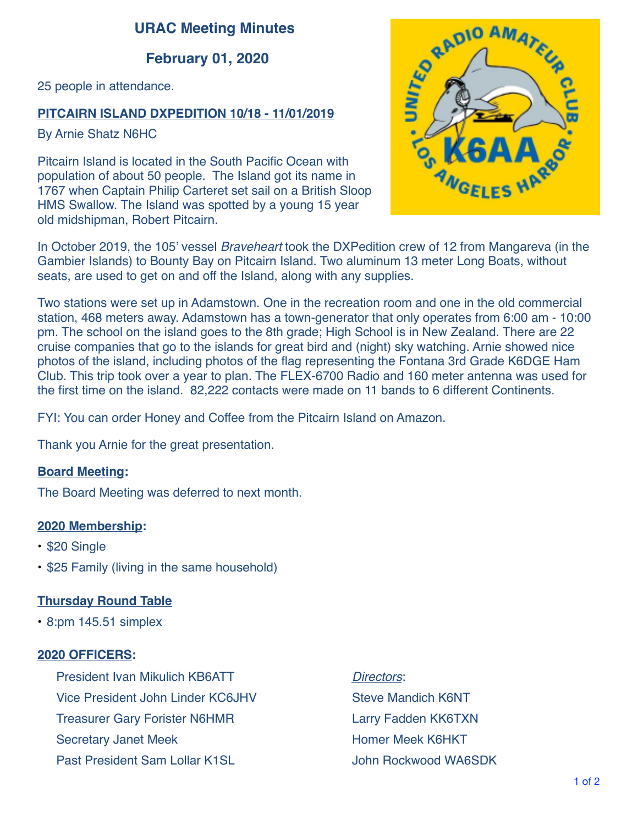# **URAC Meeting Minutes**

# **February 01, 2020**

25 people in attendance.

## **PITCAIRN ISLAND DXPEDITION 10/18 - 11/01/2019**

By Arnie Shatz N6HC

Pitcairn Island is located in the South Pacific Ocean with population of about 50 people. The Island got its name in 1767 when Captain Philip Carteret set sail on a British Sloop HMS Swallow. The Island was spotted by a young 15 year old midshipman, Robert Pitcairn.



In October 2019, the 105' vessel *Braveheart* took the DXPedition crew of 12 from Mangareva (in the Gambier Islands) to Bounty Bay on Pitcairn Island. Two aluminum 13 meter Long Boats, without seats, are used to get on and off the Island, along with any supplies.

Two stations were set up in Adamstown. One in the recreation room and one in the old commercial station, 468 meters away. Adamstown has a town-generator that only operates from 6:00 am - 10:00 pm. The school on the island goes to the 8th grade; High School is in New Zealand. There are 22 cruise companies that go to the islands for great bird and (night) sky watching. Arnie showed nice photos of the island, including photos of the flag representing the Fontana 3rd Grade K6DGE Ham Club. This trip took over a year to plan. The FLEX-6700 Radio and 160 meter antenna was used for the first time on the island. 82,222 contacts were made on 11 bands to 6 different Continents.

FYI: You can order Honey and Coffee from the Pitcairn Island on Amazon.

Thank you Arnie for the great presentation.

### **Board Meeting:**

The Board Meeting was deferred to next month.

#### **2020 Membership:**

- \$20 Single
- \$25 Family (living in the same household)

### **Thursday Round Table**

• 8:pm 145.51 simplex

#### **2020 OFFICERS:**

President Ivan Mikulich KB6ATT Vice President John Linder KC6JHV Treasurer Gary Forister N6HMR Secretary Janet Meek Past President Sam Lollar K1SL

*Directors*: Steve Mandich K6NT Larry Fadden KK6TXN Homer Meek K6HKT John Rockwood WA6SDK